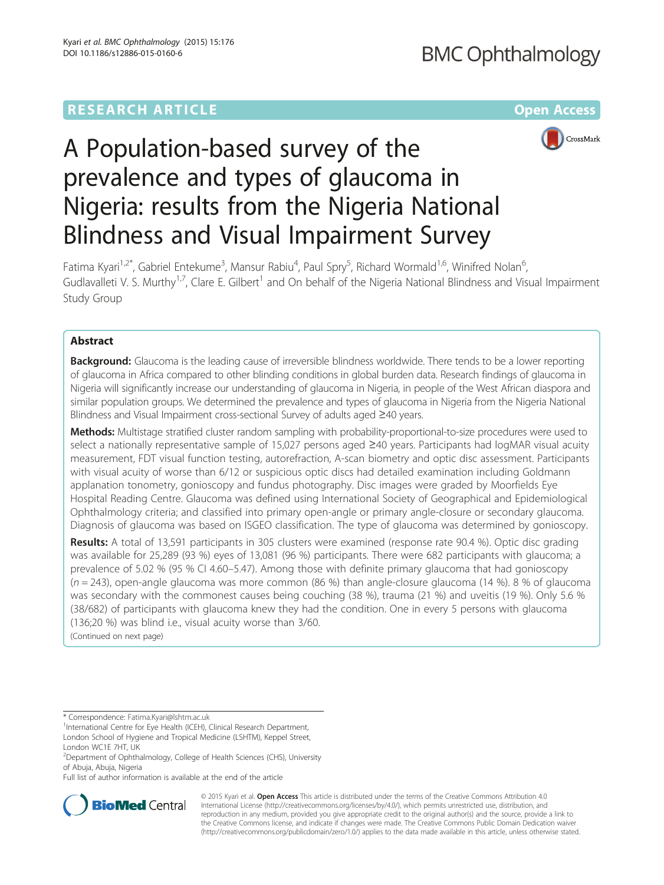## **RESEARCH ARTICLE Example 2008 12:00 PM Access**



# A Population-based survey of the prevalence and types of glaucoma in Nigeria: results from the Nigeria National Blindness and Visual Impairment Survey

Fatima Kyari<sup>1,2\*</sup>, Gabriel Entekume<sup>3</sup>, Mansur Rabiu<sup>4</sup>, Paul Spry<sup>5</sup>, Richard Wormald<sup>1,6</sup>, Winifred Nolan<sup>6</sup> , Gudlavalleti V. S. Murthy<sup>1,7</sup>, Clare E. Gilbert<sup>1</sup> and On behalf of the Nigeria National Blindness and Visual Impairment Study Group

#### Abstract

**Background:** Glaucoma is the leading cause of irreversible blindness worldwide. There tends to be a lower reporting of glaucoma in Africa compared to other blinding conditions in global burden data. Research findings of glaucoma in Nigeria will significantly increase our understanding of glaucoma in Nigeria, in people of the West African diaspora and similar population groups. We determined the prevalence and types of glaucoma in Nigeria from the Nigeria National Blindness and Visual Impairment cross-sectional Survey of adults aged ≥40 years.

Methods: Multistage stratified cluster random sampling with probability-proportional-to-size procedures were used to select a nationally representative sample of 15,027 persons aged ≥40 years. Participants had logMAR visual acuity measurement, FDT visual function testing, autorefraction, A-scan biometry and optic disc assessment. Participants with visual acuity of worse than 6/12 or suspicious optic discs had detailed examination including Goldmann applanation tonometry, gonioscopy and fundus photography. Disc images were graded by Moorfields Eye Hospital Reading Centre. Glaucoma was defined using International Society of Geographical and Epidemiological Ophthalmology criteria; and classified into primary open-angle or primary angle-closure or secondary glaucoma. Diagnosis of glaucoma was based on ISGEO classification. The type of glaucoma was determined by gonioscopy.

Results: A total of 13,591 participants in 305 clusters were examined (response rate 90.4 %). Optic disc grading was available for 25,289 (93 %) eyes of 13,081 (96 %) participants. There were 682 participants with glaucoma; a prevalence of 5.02 % (95 % CI 4.60–5.47). Among those with definite primary glaucoma that had gonioscopy  $(n = 243)$ , open-angle glaucoma was more common (86 %) than angle-closure glaucoma (14 %). 8 % of glaucoma was secondary with the commonest causes being couching (38 %), trauma (21 %) and uveitis (19 %). Only 5.6 % (38/682) of participants with glaucoma knew they had the condition. One in every 5 persons with glaucoma (136;20 %) was blind i.e., visual acuity worse than 3/60.

(Continued on next page)

\* Correspondence: [Fatima.Kyari@lshtm.ac.uk](mailto:Fatima.Kyari@lshtm.ac.uk) <sup>1</sup>

Full list of author information is available at the end of the article



© 2015 Kyari et al. Open Access This article is distributed under the terms of the Creative Commons Attribution 4.0 International License [\(http://creativecommons.org/licenses/by/4.0/](http://creativecommons.org/licenses/by/4.0/)), which permits unrestricted use, distribution, and reproduction in any medium, provided you give appropriate credit to the original author(s) and the source, provide a link to the Creative Commons license, and indicate if changes were made. The Creative Commons Public Domain Dedication waiver [\(http://creativecommons.org/publicdomain/zero/1.0/](http://creativecommons.org/publicdomain/zero/1.0/)) applies to the data made available in this article, unless otherwise stated.

<sup>&</sup>lt;sup>1</sup>International Centre for Eye Health (ICEH), Clinical Research Department, London School of Hygiene and Tropical Medicine (LSHTM), Keppel Street, London WC1E 7HT, UK

<sup>&</sup>lt;sup>2</sup>Department of Ophthalmology, College of Health Sciences (CHS), University of Abuja, Abuja, Nigeria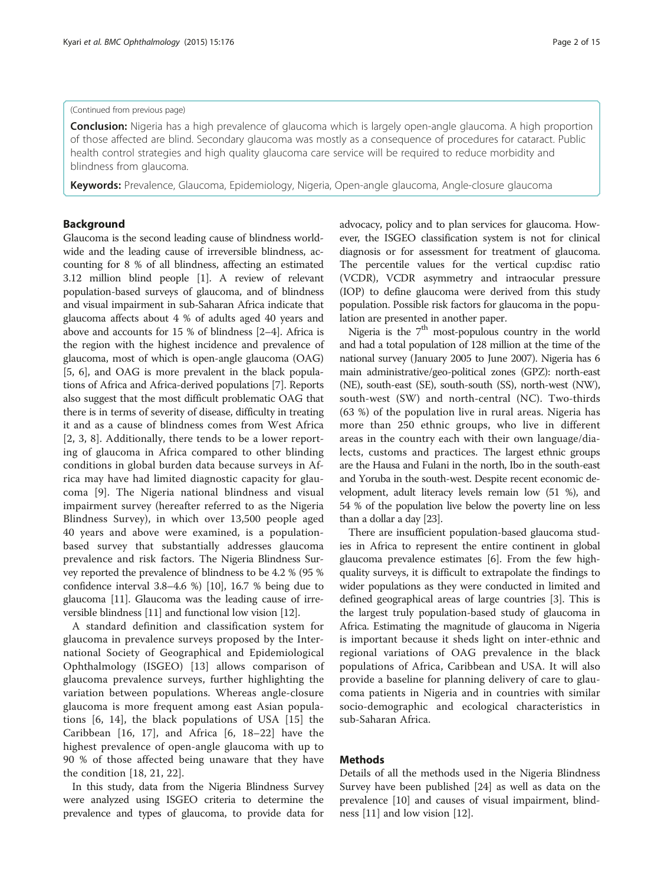#### (Continued from previous page)

**Conclusion:** Nigeria has a high prevalence of glaucoma which is largely open-angle glaucoma. A high proportion of those affected are blind. Secondary glaucoma was mostly as a consequence of procedures for cataract. Public health control strategies and high quality glaucoma care service will be required to reduce morbidity and blindness from glaucoma.

Keywords: Prevalence, Glaucoma, Epidemiology, Nigeria, Open-angle glaucoma, Angle-closure glaucoma

#### Background

Glaucoma is the second leading cause of blindness worldwide and the leading cause of irreversible blindness, accounting for 8 % of all blindness, affecting an estimated 3.12 million blind people [[1](#page-12-0)]. A review of relevant population-based surveys of glaucoma, and of blindness and visual impairment in sub-Saharan Africa indicate that glaucoma affects about 4 % of adults aged 40 years and above and accounts for 15 % of blindness [[2](#page-12-0)–[4](#page-13-0)]. Africa is the region with the highest incidence and prevalence of glaucoma, most of which is open-angle glaucoma (OAG) [[5, 6\]](#page-13-0), and OAG is more prevalent in the black populations of Africa and Africa-derived populations [[7\]](#page-13-0). Reports also suggest that the most difficult problematic OAG that there is in terms of severity of disease, difficulty in treating it and as a cause of blindness comes from West Africa [[2, 3,](#page-12-0) [8](#page-13-0)]. Additionally, there tends to be a lower reporting of glaucoma in Africa compared to other blinding conditions in global burden data because surveys in Africa may have had limited diagnostic capacity for glaucoma [[9\]](#page-13-0). The Nigeria national blindness and visual impairment survey (hereafter referred to as the Nigeria Blindness Survey), in which over 13,500 people aged 40 years and above were examined, is a populationbased survey that substantially addresses glaucoma prevalence and risk factors. The Nigeria Blindness Survey reported the prevalence of blindness to be 4.2 % (95 % confidence interval 3.8–4.6 %) [\[10\]](#page-13-0), 16.7 % being due to glaucoma [\[11\]](#page-13-0). Glaucoma was the leading cause of irreversible blindness [[11](#page-13-0)] and functional low vision [\[12](#page-13-0)].

A standard definition and classification system for glaucoma in prevalence surveys proposed by the International Society of Geographical and Epidemiological Ophthalmology (ISGEO) [\[13](#page-13-0)] allows comparison of glaucoma prevalence surveys, further highlighting the variation between populations. Whereas angle-closure glaucoma is more frequent among east Asian populations [[6, 14](#page-13-0)], the black populations of USA [[15](#page-13-0)] the Caribbean [[16, 17\]](#page-13-0), and Africa [\[6](#page-13-0), [18](#page-13-0)–[22](#page-13-0)] have the highest prevalence of open-angle glaucoma with up to 90 % of those affected being unaware that they have the condition [\[18](#page-13-0), [21, 22\]](#page-13-0).

In this study, data from the Nigeria Blindness Survey were analyzed using ISGEO criteria to determine the prevalence and types of glaucoma, to provide data for advocacy, policy and to plan services for glaucoma. However, the ISGEO classification system is not for clinical diagnosis or for assessment for treatment of glaucoma. The percentile values for the vertical cup:disc ratio (VCDR), VCDR asymmetry and intraocular pressure (IOP) to define glaucoma were derived from this study population. Possible risk factors for glaucoma in the population are presented in another paper.

Nigeria is the  $7<sup>th</sup>$  most-populous country in the world and had a total population of 128 million at the time of the national survey (January 2005 to June 2007). Nigeria has 6 main administrative/geo-political zones (GPZ): north-east (NE), south-east (SE), south-south (SS), north-west (NW), south-west (SW) and north-central (NC). Two-thirds (63 %) of the population live in rural areas. Nigeria has more than 250 ethnic groups, who live in different areas in the country each with their own language/dialects, customs and practices. The largest ethnic groups are the Hausa and Fulani in the north, Ibo in the south-east and Yoruba in the south-west. Despite recent economic development, adult literacy levels remain low (51 %), and 54 % of the population live below the poverty line on less than a dollar a day [[23](#page-13-0)].

There are insufficient population-based glaucoma studies in Africa to represent the entire continent in global glaucoma prevalence estimates [\[6](#page-13-0)]. From the few highquality surveys, it is difficult to extrapolate the findings to wider populations as they were conducted in limited and defined geographical areas of large countries [[3](#page-12-0)]. This is the largest truly population-based study of glaucoma in Africa. Estimating the magnitude of glaucoma in Nigeria is important because it sheds light on inter-ethnic and regional variations of OAG prevalence in the black populations of Africa, Caribbean and USA. It will also provide a baseline for planning delivery of care to glaucoma patients in Nigeria and in countries with similar socio-demographic and ecological characteristics in sub-Saharan Africa.

#### Methods

Details of all the methods used in the Nigeria Blindness Survey have been published [[24](#page-13-0)] as well as data on the prevalence [\[10](#page-13-0)] and causes of visual impairment, blindness [\[11](#page-13-0)] and low vision [[12](#page-13-0)].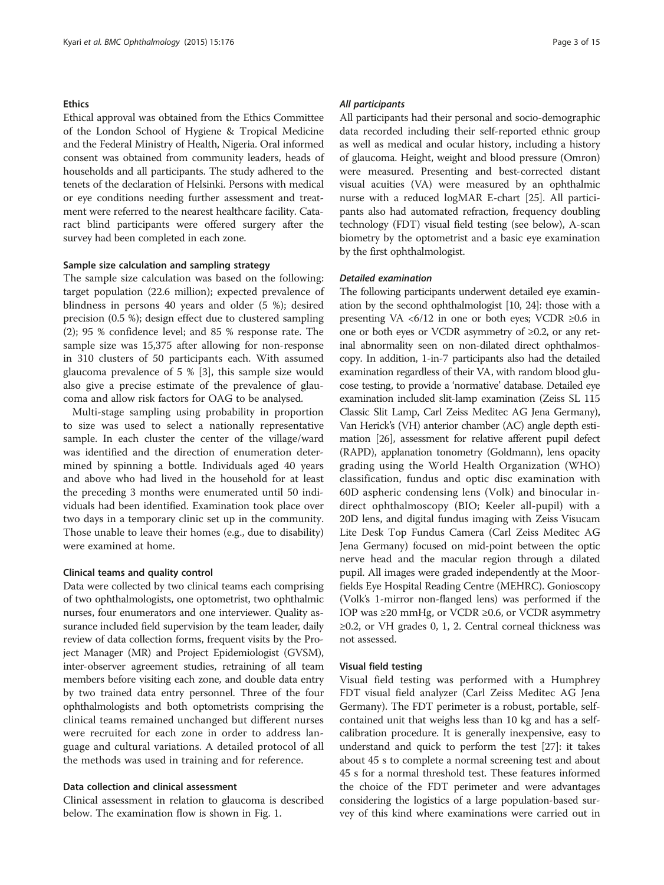#### **Ethics**

Ethical approval was obtained from the Ethics Committee of the London School of Hygiene & Tropical Medicine and the Federal Ministry of Health, Nigeria. Oral informed consent was obtained from community leaders, heads of households and all participants. The study adhered to the tenets of the declaration of Helsinki. Persons with medical or eye conditions needing further assessment and treatment were referred to the nearest healthcare facility. Cataract blind participants were offered surgery after the survey had been completed in each zone.

#### Sample size calculation and sampling strategy

The sample size calculation was based on the following: target population (22.6 million); expected prevalence of blindness in persons 40 years and older (5 %); desired precision (0.5 %); design effect due to clustered sampling (2); 95 % confidence level; and 85 % response rate. The sample size was 15,375 after allowing for non-response in 310 clusters of 50 participants each. With assumed glaucoma prevalence of 5 % [\[3](#page-12-0)], this sample size would also give a precise estimate of the prevalence of glaucoma and allow risk factors for OAG to be analysed.

Multi-stage sampling using probability in proportion to size was used to select a nationally representative sample. In each cluster the center of the village/ward was identified and the direction of enumeration determined by spinning a bottle. Individuals aged 40 years and above who had lived in the household for at least the preceding 3 months were enumerated until 50 individuals had been identified. Examination took place over two days in a temporary clinic set up in the community. Those unable to leave their homes (e.g., due to disability) were examined at home.

#### Clinical teams and quality control

Data were collected by two clinical teams each comprising of two ophthalmologists, one optometrist, two ophthalmic nurses, four enumerators and one interviewer. Quality assurance included field supervision by the team leader, daily review of data collection forms, frequent visits by the Project Manager (MR) and Project Epidemiologist (GVSM), inter-observer agreement studies, retraining of all team members before visiting each zone, and double data entry by two trained data entry personnel. Three of the four ophthalmologists and both optometrists comprising the clinical teams remained unchanged but different nurses were recruited for each zone in order to address language and cultural variations. A detailed protocol of all the methods was used in training and for reference.

#### Data collection and clinical assessment

Clinical assessment in relation to glaucoma is described below. The examination flow is shown in Fig. [1.](#page-3-0)

#### All participants

All participants had their personal and socio-demographic data recorded including their self-reported ethnic group as well as medical and ocular history, including a history of glaucoma. Height, weight and blood pressure (Omron) were measured. Presenting and best-corrected distant visual acuities (VA) were measured by an ophthalmic nurse with a reduced logMAR E-chart [\[25\]](#page-13-0). All participants also had automated refraction, frequency doubling technology (FDT) visual field testing (see below), A-scan biometry by the optometrist and a basic eye examination by the first ophthalmologist.

#### Detailed examination

The following participants underwent detailed eye examination by the second ophthalmologist [[10](#page-13-0), [24\]](#page-13-0): those with a presenting VA < $6/12$  in one or both eyes; VCDR ≥0.6 in one or both eyes or VCDR asymmetry of ≥0.2, or any retinal abnormality seen on non-dilated direct ophthalmoscopy. In addition, 1-in-7 participants also had the detailed examination regardless of their VA, with random blood glucose testing, to provide a 'normative' database. Detailed eye examination included slit-lamp examination (Zeiss SL 115 Classic Slit Lamp, Carl Zeiss Meditec AG Jena Germany), Van Herick's (VH) anterior chamber (AC) angle depth estimation [\[26\]](#page-13-0), assessment for relative afferent pupil defect (RAPD), applanation tonometry (Goldmann), lens opacity grading using the World Health Organization (WHO) classification, fundus and optic disc examination with 60D aspheric condensing lens (Volk) and binocular indirect ophthalmoscopy (BIO; Keeler all-pupil) with a 20D lens, and digital fundus imaging with Zeiss Visucam Lite Desk Top Fundus Camera (Carl Zeiss Meditec AG Jena Germany) focused on mid-point between the optic nerve head and the macular region through a dilated pupil. All images were graded independently at the Moorfields Eye Hospital Reading Centre (MEHRC). Gonioscopy (Volk's 1-mirror non-flanged lens) was performed if the IOP was ≥20 mmHg, or VCDR ≥0.6, or VCDR asymmetry ≥0.2, or VH grades 0, 1, 2. Central corneal thickness was not assessed.

#### Visual field testing

Visual field testing was performed with a Humphrey FDT visual field analyzer (Carl Zeiss Meditec AG Jena Germany). The FDT perimeter is a robust, portable, selfcontained unit that weighs less than 10 kg and has a selfcalibration procedure. It is generally inexpensive, easy to understand and quick to perform the test [[27\]](#page-13-0): it takes about 45 s to complete a normal screening test and about 45 s for a normal threshold test. These features informed the choice of the FDT perimeter and were advantages considering the logistics of a large population-based survey of this kind where examinations were carried out in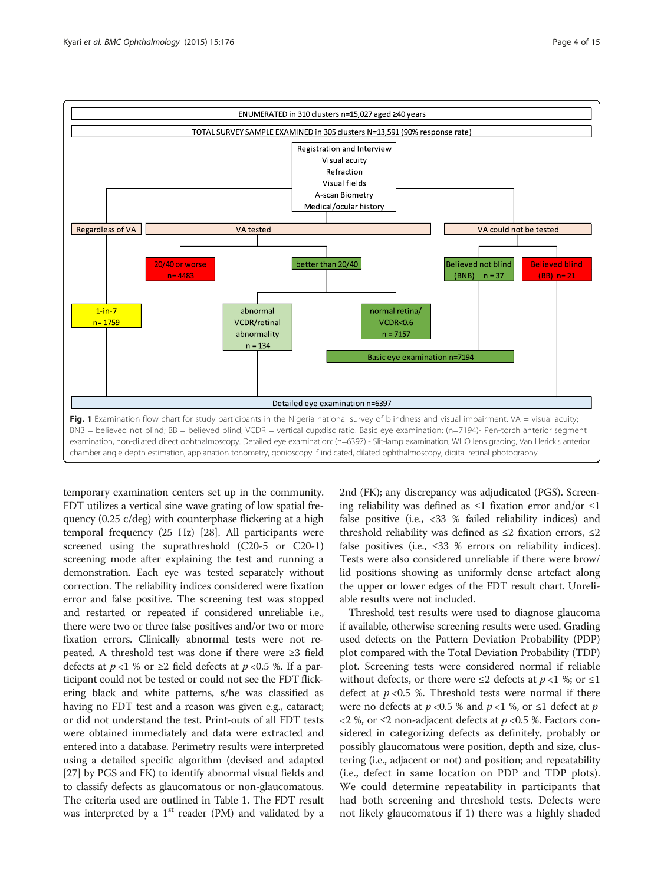<span id="page-3-0"></span>

temporary examination centers set up in the community. FDT utilizes a vertical sine wave grating of low spatial frequency (0.25 c/deg) with counterphase flickering at a high temporal frequency (25 Hz) [[28](#page-13-0)]. All participants were screened using the suprathreshold (C20-5 or C20-1) screening mode after explaining the test and running a demonstration. Each eye was tested separately without correction. The reliability indices considered were fixation error and false positive. The screening test was stopped and restarted or repeated if considered unreliable i.e., there were two or three false positives and/or two or more fixation errors. Clinically abnormal tests were not repeated. A threshold test was done if there were ≥3 field defects at  $p < 1$  % or  $\geq 2$  field defects at  $p < 0.5$  %. If a participant could not be tested or could not see the FDT flickering black and white patterns, s/he was classified as having no FDT test and a reason was given e.g., cataract; or did not understand the test. Print-outs of all FDT tests were obtained immediately and data were extracted and entered into a database. Perimetry results were interpreted using a detailed specific algorithm (devised and adapted [[27](#page-13-0)] by PGS and FK) to identify abnormal visual fields and to classify defects as glaucomatous or non-glaucomatous. The criteria used are outlined in Table [1.](#page-4-0) The FDT result was interpreted by a  $1<sup>st</sup>$  reader (PM) and validated by a

2nd (FK); any discrepancy was adjudicated (PGS). Screening reliability was defined as ≤1 fixation error and/or ≤1 false positive (i.e., <33 % failed reliability indices) and threshold reliability was defined as  $\leq 2$  fixation errors,  $\leq 2$ false positives (i.e.,  $\leq 33$  % errors on reliability indices). Tests were also considered unreliable if there were brow/ lid positions showing as uniformly dense artefact along the upper or lower edges of the FDT result chart. Unreliable results were not included.

Threshold test results were used to diagnose glaucoma if available, otherwise screening results were used. Grading used defects on the Pattern Deviation Probability (PDP) plot compared with the Total Deviation Probability (TDP) plot. Screening tests were considered normal if reliable without defects, or there were  $\leq 2$  defects at  $p < 1$  %; or  $\leq 1$ defect at  $p < 0.5$  %. Threshold tests were normal if there were no defects at  $p < 0.5$  % and  $p < 1$  %, or  $\leq 1$  defect at  $p$ <2 %, or ≤2 non-adjacent defects at  $p$  <0.5 %. Factors considered in categorizing defects as definitely, probably or possibly glaucomatous were position, depth and size, clustering (i.e., adjacent or not) and position; and repeatability (i.e., defect in same location on PDP and TDP plots). We could determine repeatability in participants that had both screening and threshold tests. Defects were not likely glaucomatous if 1) there was a highly shaded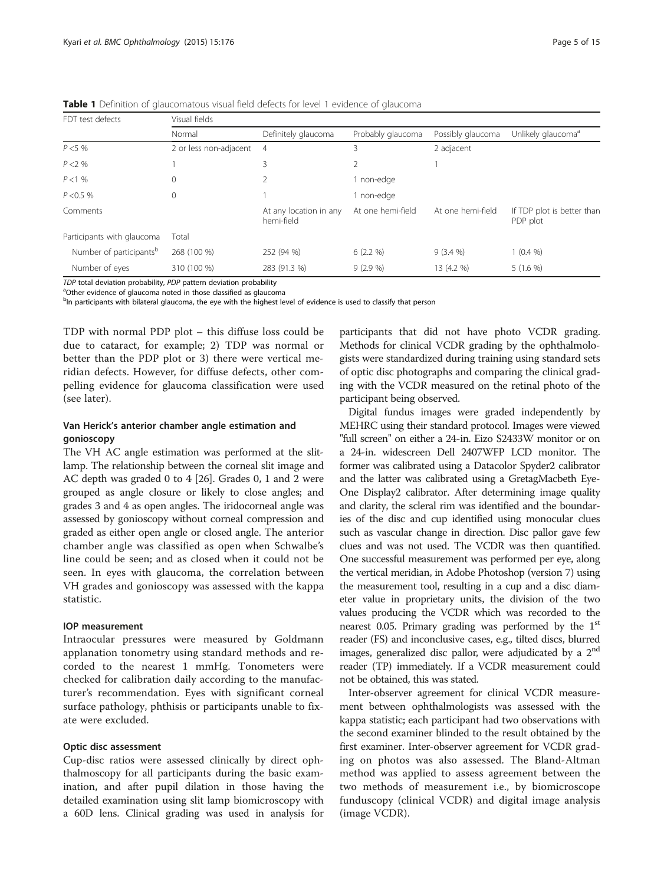| FDT test defects                    | Visual fields          |                                      |                   |                   |                                        |  |  |  |
|-------------------------------------|------------------------|--------------------------------------|-------------------|-------------------|----------------------------------------|--|--|--|
|                                     | Normal                 | Definitely glaucoma                  | Probably glaucoma | Possibly glaucoma | Unlikely glaucoma <sup>a</sup>         |  |  |  |
| $P < 5\%$                           | 2 or less non-adjacent | $\overline{4}$                       | 3                 | 2 adjacent        |                                        |  |  |  |
| P < 2%                              |                        | 3                                    |                   |                   |                                        |  |  |  |
| $P < 1$ %                           | 0                      | 2                                    | 1 non-edge        |                   |                                        |  |  |  |
| $P < 0.5$ %                         | 0                      |                                      | 1 non-edge        |                   |                                        |  |  |  |
| Comments                            |                        | At any location in any<br>hemi-field | At one hemi-field | At one hemi-field | If TDP plot is better than<br>PDP plot |  |  |  |
| Participants with glaucoma          | Total                  |                                      |                   |                   |                                        |  |  |  |
| Number of participants <sup>b</sup> | 268 (100 %)            | 252 (94 %)                           | 6(2.2%)           | 9(3.4%            | 1(0.4%                                 |  |  |  |
| Number of eyes                      | 310 (100 %)            | 283 (91.3 %)                         | $9(2.9\%)$        | 13 (4.2 %)        | $5(1.6\%)$                             |  |  |  |

<span id="page-4-0"></span>**Table 1** Definition of glaucomatous visual field defects for level 1 evidence of glaucoma

TDP total deviation probability, PDP pattern deviation probability

<sup>a</sup>Other evidence of glaucoma noted in those classified as glaucoma

<sup>b</sup>In participants with bilateral glaucoma, the eye with the highest level of evidence is used to classify that person

TDP with normal PDP plot – this diffuse loss could be due to cataract, for example; 2) TDP was normal or better than the PDP plot or 3) there were vertical meridian defects. However, for diffuse defects, other compelling evidence for glaucoma classification were used (see later).

#### Van Herick's anterior chamber angle estimation and gonioscopy

The VH AC angle estimation was performed at the slitlamp. The relationship between the corneal slit image and AC depth was graded 0 to 4 [\[26\]](#page-13-0). Grades 0, 1 and 2 were grouped as angle closure or likely to close angles; and grades 3 and 4 as open angles. The iridocorneal angle was assessed by gonioscopy without corneal compression and graded as either open angle or closed angle. The anterior chamber angle was classified as open when Schwalbe's line could be seen; and as closed when it could not be seen. In eyes with glaucoma, the correlation between VH grades and gonioscopy was assessed with the kappa statistic.

#### IOP measurement

Intraocular pressures were measured by Goldmann applanation tonometry using standard methods and recorded to the nearest 1 mmHg. Tonometers were checked for calibration daily according to the manufacturer's recommendation. Eyes with significant corneal surface pathology, phthisis or participants unable to fixate were excluded.

#### Optic disc assessment

Cup-disc ratios were assessed clinically by direct ophthalmoscopy for all participants during the basic examination, and after pupil dilation in those having the detailed examination using slit lamp biomicroscopy with a 60D lens. Clinical grading was used in analysis for participants that did not have photo VCDR grading. Methods for clinical VCDR grading by the ophthalmologists were standardized during training using standard sets of optic disc photographs and comparing the clinical grading with the VCDR measured on the retinal photo of the participant being observed.

Digital fundus images were graded independently by MEHRC using their standard protocol. Images were viewed "full screen" on either a 24-in. Eizo S2433W monitor or on a 24-in. widescreen Dell 2407WFP LCD monitor. The former was calibrated using a Datacolor Spyder2 calibrator and the latter was calibrated using a GretagMacbeth Eye-One Display2 calibrator. After determining image quality and clarity, the scleral rim was identified and the boundaries of the disc and cup identified using monocular clues such as vascular change in direction. Disc pallor gave few clues and was not used. The VCDR was then quantified. One successful measurement was performed per eye, along the vertical meridian, in Adobe Photoshop (version 7) using the measurement tool, resulting in a cup and a disc diameter value in proprietary units, the division of the two values producing the VCDR which was recorded to the nearest 0.05. Primary grading was performed by the 1<sup>st</sup> reader (FS) and inconclusive cases, e.g., tilted discs, blurred images, generalized disc pallor, were adjudicated by a  $2<sup>nd</sup>$ reader (TP) immediately. If a VCDR measurement could not be obtained, this was stated.

Inter-observer agreement for clinical VCDR measurement between ophthalmologists was assessed with the kappa statistic; each participant had two observations with the second examiner blinded to the result obtained by the first examiner. Inter-observer agreement for VCDR grading on photos was also assessed. The Bland-Altman method was applied to assess agreement between the two methods of measurement i.e., by biomicroscope funduscopy (clinical VCDR) and digital image analysis (image VCDR).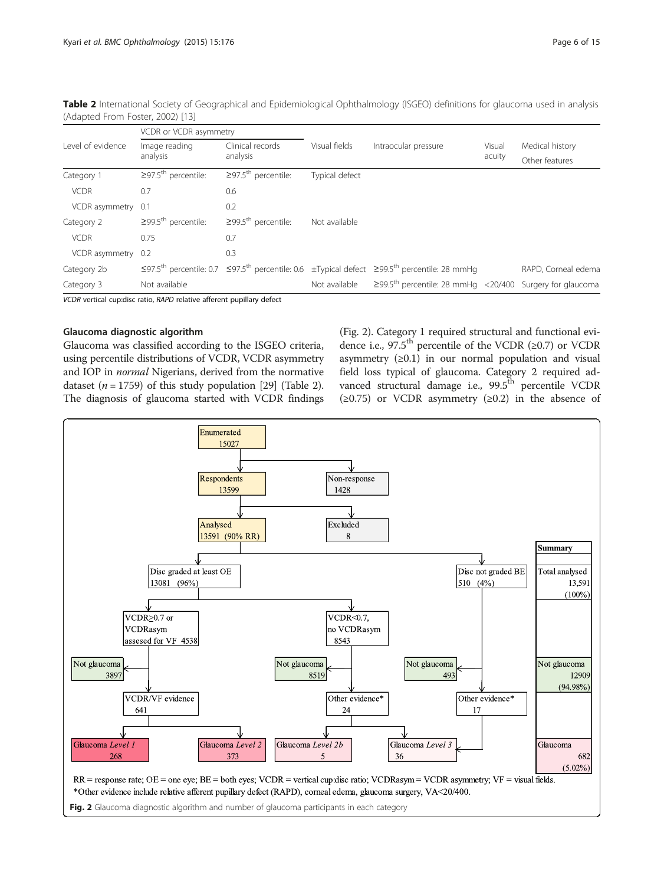<span id="page-5-0"></span>(Adapted From Foster, 2002) [[13](#page-13-0)]

| Level of evidence | Image reading<br>analysis             | Clinical records<br>analysis          | Visual fields  | Intraocular pressure                                                                                                            | Visual<br>acuity | Medical history<br>Other features |
|-------------------|---------------------------------------|---------------------------------------|----------------|---------------------------------------------------------------------------------------------------------------------------------|------------------|-----------------------------------|
| Category 1        | $\geq$ 97.5 <sup>th</sup> percentile: | $\geq$ 97.5 <sup>th</sup> percentile: | Typical defect |                                                                                                                                 |                  |                                   |
| <b>VCDR</b>       | 0.7                                   | 0.6                                   |                |                                                                                                                                 |                  |                                   |
| VCDR asymmetry    | 0.1                                   | 0.2                                   |                |                                                                                                                                 |                  |                                   |
| Category 2        | $\geq$ 99.5 <sup>th</sup> percentile: | $\geq$ 99.5 <sup>th</sup> percentile: | Not available  |                                                                                                                                 |                  |                                   |
| <b>VCDR</b>       | 0.75                                  | 0.7                                   |                |                                                                                                                                 |                  |                                   |
| VCDR asymmetry    | 0.2                                   | 0.3                                   |                |                                                                                                                                 |                  |                                   |
| Category 2b       |                                       |                                       |                | ≤97.5 <sup>th</sup> percentile: 0.7 ≤97.5 <sup>th</sup> percentile: 0.6 ±Typical defect ≥99.5 <sup>th</sup> percentile: 28 mmHg |                  | RAPD. Corneal edema               |
| Category 3        | Not available                         |                                       | Not available  | $\geq$ 99.5 <sup>th</sup> percentile: 28 mmHg <20/400                                                                           |                  | Surgery for glaucoma              |

VCDR vertical cup:disc ratio, RAPD relative afferent pupillary defect

#### Glaucoma diagnostic algorithm

Glaucoma was classified according to the ISGEO criteria, using percentile distributions of VCDR, VCDR asymmetry and IOP in normal Nigerians, derived from the normative dataset ( $n = 1759$ ) of this study population [[29\]](#page-13-0) (Table 2). The diagnosis of glaucoma started with VCDR findings (Fig. 2). Category 1 required structural and functional evidence i.e.,  $97.5^{\text{th}}$  percentile of the VCDR (≥0.7) or VCDR asymmetry  $(≥0.1)$  in our normal population and visual field loss typical of glaucoma. Category 2 required advanced structural damage i.e., 99.5<sup>th</sup> percentile VCDR ( $\geq$ 0.75) or VCDR asymmetry ( $\geq$ 0.2) in the absence of

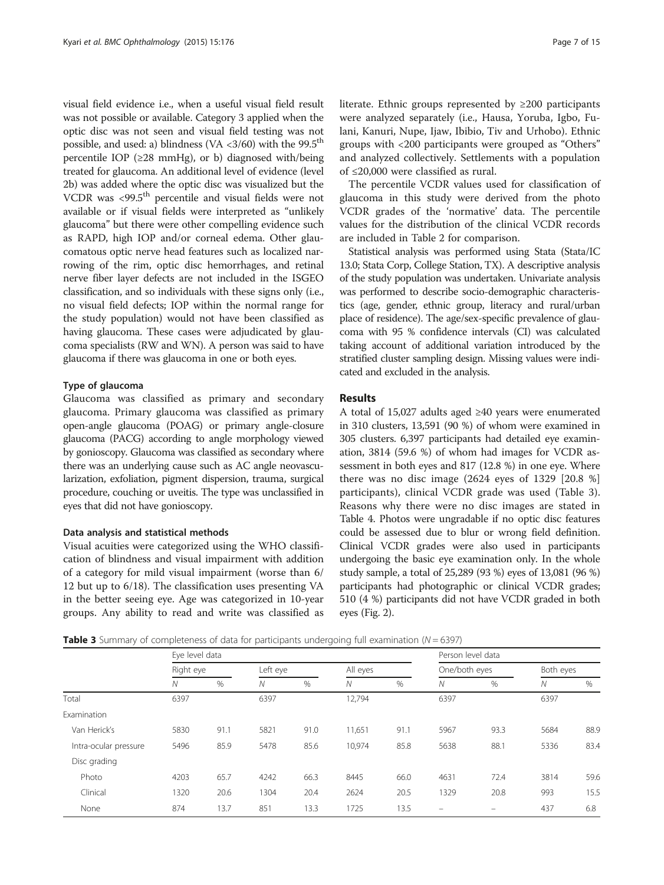<span id="page-6-0"></span>visual field evidence i.e., when a useful visual field result was not possible or available. Category 3 applied when the optic disc was not seen and visual field testing was not possible, and used: a) blindness (VA  $\langle 3/60 \rangle$  with the 99.5<sup>th</sup> percentile IOP ( $\geq$ 28 mmHg), or b) diagnosed with/being treated for glaucoma. An additional level of evidence (level 2b) was added where the optic disc was visualized but the VCDR was  $\langle 99.5^{th}$  percentile and visual fields were not available or if visual fields were interpreted as "unlikely glaucoma" but there were other compelling evidence such as RAPD, high IOP and/or corneal edema. Other glaucomatous optic nerve head features such as localized narrowing of the rim, optic disc hemorrhages, and retinal nerve fiber layer defects are not included in the ISGEO classification, and so individuals with these signs only (i.e., no visual field defects; IOP within the normal range for the study population) would not have been classified as having glaucoma. These cases were adjudicated by glaucoma specialists (RW and WN). A person was said to have glaucoma if there was glaucoma in one or both eyes.

#### Type of glaucoma

Glaucoma was classified as primary and secondary glaucoma. Primary glaucoma was classified as primary open-angle glaucoma (POAG) or primary angle-closure glaucoma (PACG) according to angle morphology viewed by gonioscopy. Glaucoma was classified as secondary where there was an underlying cause such as AC angle neovascularization, exfoliation, pigment dispersion, trauma, surgical procedure, couching or uveitis. The type was unclassified in eyes that did not have gonioscopy.

#### Data analysis and statistical methods

Visual acuities were categorized using the WHO classification of blindness and visual impairment with addition of a category for mild visual impairment (worse than 6/ 12 but up to 6/18). The classification uses presenting VA in the better seeing eye. Age was categorized in 10-year groups. Any ability to read and write was classified as literate. Ethnic groups represented by  $\geq 200$  participants were analyzed separately (i.e., Hausa, Yoruba, Igbo, Fulani, Kanuri, Nupe, Ijaw, Ibibio, Tiv and Urhobo). Ethnic groups with <200 participants were grouped as "Others" and analyzed collectively. Settlements with a population of ≤20,000 were classified as rural.

The percentile VCDR values used for classification of glaucoma in this study were derived from the photo VCDR grades of the 'normative' data. The percentile values for the distribution of the clinical VCDR records are included in Table [2](#page-5-0) for comparison.

Statistical analysis was performed using Stata (Stata/IC 13.0; Stata Corp, College Station, TX). A descriptive analysis of the study population was undertaken. Univariate analysis was performed to describe socio-demographic characteristics (age, gender, ethnic group, literacy and rural/urban place of residence). The age/sex-specific prevalence of glaucoma with 95 % confidence intervals (CI) was calculated taking account of additional variation introduced by the stratified cluster sampling design. Missing values were indicated and excluded in the analysis.

#### Results

A total of 15,027 adults aged ≥40 years were enumerated in 310 clusters, 13,591 (90 %) of whom were examined in 305 clusters. 6,397 participants had detailed eye examination, 3814 (59.6 %) of whom had images for VCDR assessment in both eyes and 817 (12.8 %) in one eye. Where there was no disc image (2624 eyes of 1329 [20.8 %] participants), clinical VCDR grade was used (Table 3). Reasons why there were no disc images are stated in Table [4.](#page-7-0) Photos were ungradable if no optic disc features could be assessed due to blur or wrong field definition. Clinical VCDR grades were also used in participants undergoing the basic eye examination only. In the whole study sample, a total of 25,289 (93 %) eyes of 13,081 (96 %) participants had photographic or clinical VCDR grades; 510 (4 %) participants did not have VCDR graded in both eyes (Fig. [2](#page-5-0)).

**Table 3** Summary of completeness of data for participants undergoing full examination ( $N = 6397$ )

|                       | Eye level data |      |          |      |          | Person level data |                   |               |      |           |  |
|-----------------------|----------------|------|----------|------|----------|-------------------|-------------------|---------------|------|-----------|--|
|                       | Right eye      |      | Left eye |      | All eyes |                   |                   | One/both eyes |      | Both eyes |  |
|                       | N              | $\%$ | Ν        | %    | Ν        | $\frac{0}{0}$     | N                 | %             | Ν    | $\%$      |  |
| Total                 | 6397           |      | 6397     |      | 12,794   |                   | 6397              |               | 6397 |           |  |
| Examination           |                |      |          |      |          |                   |                   |               |      |           |  |
| Van Herick's          | 5830           | 91.1 | 5821     | 91.0 | 11,651   | 91.1              | 5967              | 93.3          | 5684 | 88.9      |  |
| Intra-ocular pressure | 5496           | 85.9 | 5478     | 85.6 | 10,974   | 85.8              | 5638              | 88.1          | 5336 | 83.4      |  |
| Disc grading          |                |      |          |      |          |                   |                   |               |      |           |  |
| Photo                 | 4203           | 65.7 | 4242     | 66.3 | 8445     | 66.0              | 4631              | 72.4          | 3814 | 59.6      |  |
| Clinical              | 1320           | 20.6 | 1304     | 20.4 | 2624     | 20.5              | 1329              | 20.8          | 993  | 15.5      |  |
| None                  | 874            | 13.7 | 851      | 13.3 | 1725     | 13.5              | $\qquad \qquad =$ | $\equiv$      | 437  | 6.8       |  |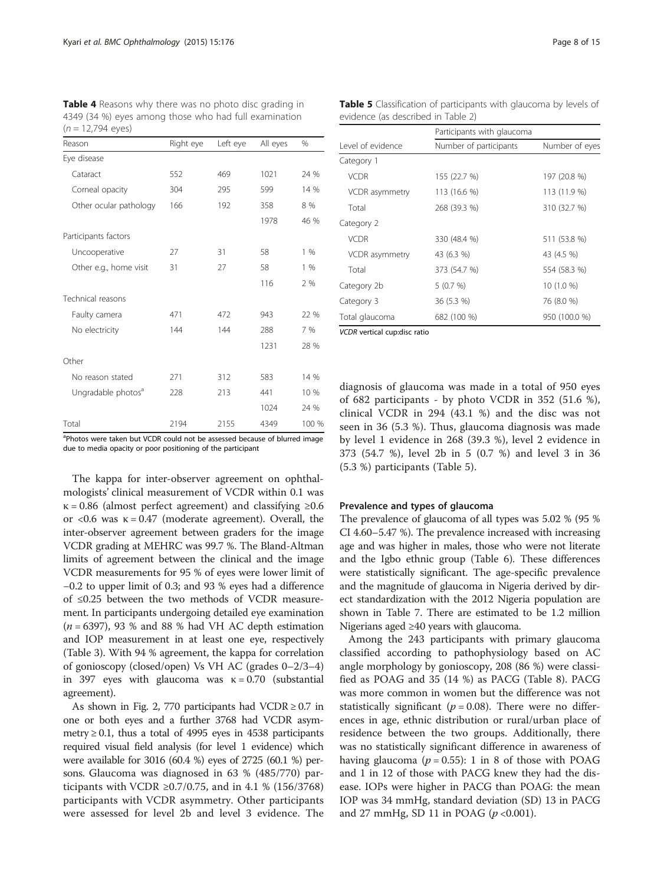| Reason                         | Right eye | Left eye | All eyes | %     |
|--------------------------------|-----------|----------|----------|-------|
| Eye disease                    |           |          |          |       |
| Cataract                       | 552       | 469      | 1021     | 24 %  |
| Corneal opacity                | 304       | 295      | 599      | 14 %  |
| Other ocular pathology         | 166       | 192      | 358      | 8 %   |
|                                |           |          | 1978     | 46 %  |
| Participants factors           |           |          |          |       |
| Uncooperative                  | 27        | 31       | 58       | 1%    |
| Other e.g., home visit         | 31        | 27       | 58       | 1%    |
|                                |           |          | 116      | 2 %   |
| Technical reasons              |           |          |          |       |
| Faulty camera                  | 471       | 472      | 943      | 22 %  |
| No electricity                 | 144       | 144      | 288      | 7 %   |
|                                |           |          | 1231     | 28 %  |
| Other                          |           |          |          |       |
| No reason stated               | 271       | 312      | 583      | 14 %  |
| Ungradable photos <sup>a</sup> | 228       | 213      | 441      | 10 %  |
|                                |           |          | 1024     | 24 %  |
| Total                          | 2194      | 2155     | 4349     | 100 % |

<span id="page-7-0"></span>Table 4 Reasons why there was no photo disc grading in 4349 (34 %) eyes among those who had full examination  $(n = 12,794 \text{ eV/s})$ 

<sup>a</sup>Photos were taken but VCDR could not be assessed because of blurred image due to media opacity or poor positioning of the participant

The kappa for inter-observer agreement on ophthalmologists' clinical measurement of VCDR within 0.1 was  $\kappa$  = 0.86 (almost perfect agreement) and classifying ≥0.6 or <0.6 was κ = 0.47 (moderate agreement). Overall, the inter-observer agreement between graders for the image VCDR grading at MEHRC was 99.7 %. The Bland-Altman limits of agreement between the clinical and the image VCDR measurements for 95 % of eyes were lower limit of −0.2 to upper limit of 0.3; and 93 % eyes had a difference of ≤0.25 between the two methods of VCDR measurement. In participants undergoing detailed eye examination  $(n = 6397)$ , 93 % and 88 % had VH AC depth estimation and IOP measurement in at least one eye, respectively (Table [3](#page-6-0)). With 94 % agreement, the kappa for correlation of gonioscopy (closed/open) Vs VH AC (grades 0–2/3–4) in 397 eyes with glaucoma was  $\kappa = 0.70$  (substantial agreement).

As shown in Fig. [2,](#page-5-0) 770 participants had  $VCDR \ge 0.7$  in one or both eyes and a further 3768 had VCDR asymmetry  $\geq$  0.1, thus a total of 4995 eyes in 4538 participants required visual field analysis (for level 1 evidence) which were available for 3016 (60.4 %) eyes of 2725 (60.1 %) persons. Glaucoma was diagnosed in 63 % (485/770) participants with VCDR ≥0.7/0.75, and in 4.1 % (156/3768) participants with VCDR asymmetry. Other participants were assessed for level 2b and level 3 evidence. The

|  |  | <b>Table 5</b> Classification of participants with glaucoma by levels of |  |  |  |
|--|--|--------------------------------------------------------------------------|--|--|--|
|  |  | evidence (as described in Table 2)                                       |  |  |  |

|                              | Participants with glaucoma |                |  |  |  |  |
|------------------------------|----------------------------|----------------|--|--|--|--|
| Level of evidence            | Number of participants     | Number of eyes |  |  |  |  |
| Category 1                   |                            |                |  |  |  |  |
| <b>VCDR</b>                  | 155 (22.7 %)               | 197 (20.8 %)   |  |  |  |  |
| VCDR asymmetry               | 113 (16.6 %)               | 113 (11.9 %)   |  |  |  |  |
| Total                        | 268 (39.3 %)               | 310 (32.7 %)   |  |  |  |  |
| Category 2                   |                            |                |  |  |  |  |
| <b>VCDR</b>                  | 330 (48.4 %)               | 511 (53.8 %)   |  |  |  |  |
| VCDR asymmetry               | 43 (6.3 %)                 | 43 (4.5 %)     |  |  |  |  |
| Total                        | 373 (54.7 %)               | 554 (58.3 %)   |  |  |  |  |
| Category 2b                  | 5 (0.7 %)                  | 10 (1.0 %)     |  |  |  |  |
| Category 3                   | 36 (5.3 %)                 | 76 (8.0 %)     |  |  |  |  |
| Total glaucoma               | 682 (100 %)                | 950 (100.0 %)  |  |  |  |  |
| VCDR vertical cup:disc ratio |                            |                |  |  |  |  |

diagnosis of glaucoma was made in a total of 950 eyes of 682 participants - by photo VCDR in 352 (51.6 %),

clinical VCDR in 294 (43.1 %) and the disc was not seen in 36 (5.3 %). Thus, glaucoma diagnosis was made by level 1 evidence in 268 (39.3 %), level 2 evidence in 373 (54.7 %), level 2b in 5 (0.7 %) and level 3 in 36 (5.3 %) participants (Table 5).

#### Prevalence and types of glaucoma

The prevalence of glaucoma of all types was 5.02 % (95 % CI 4.60–5.47 %). The prevalence increased with increasing age and was higher in males, those who were not literate and the Igbo ethnic group (Table [6\)](#page-8-0). These differences were statistically significant. The age-specific prevalence and the magnitude of glaucoma in Nigeria derived by direct standardization with the 2012 Nigeria population are shown in Table [7.](#page-9-0) There are estimated to be 1.2 million Nigerians aged ≥40 years with glaucoma.

Among the 243 participants with primary glaucoma classified according to pathophysiology based on AC angle morphology by gonioscopy, 208 (86 %) were classified as POAG and 35 (14 %) as PACG (Table [8\)](#page-9-0). PACG was more common in women but the difference was not statistically significant ( $p = 0.08$ ). There were no differences in age, ethnic distribution or rural/urban place of residence between the two groups. Additionally, there was no statistically significant difference in awareness of having glaucoma ( $p = 0.55$ ): 1 in 8 of those with POAG and 1 in 12 of those with PACG knew they had the disease. IOPs were higher in PACG than POAG: the mean IOP was 34 mmHg, standard deviation (SD) 13 in PACG and 27 mmHg, SD 11 in POAG ( $p$  <0.001).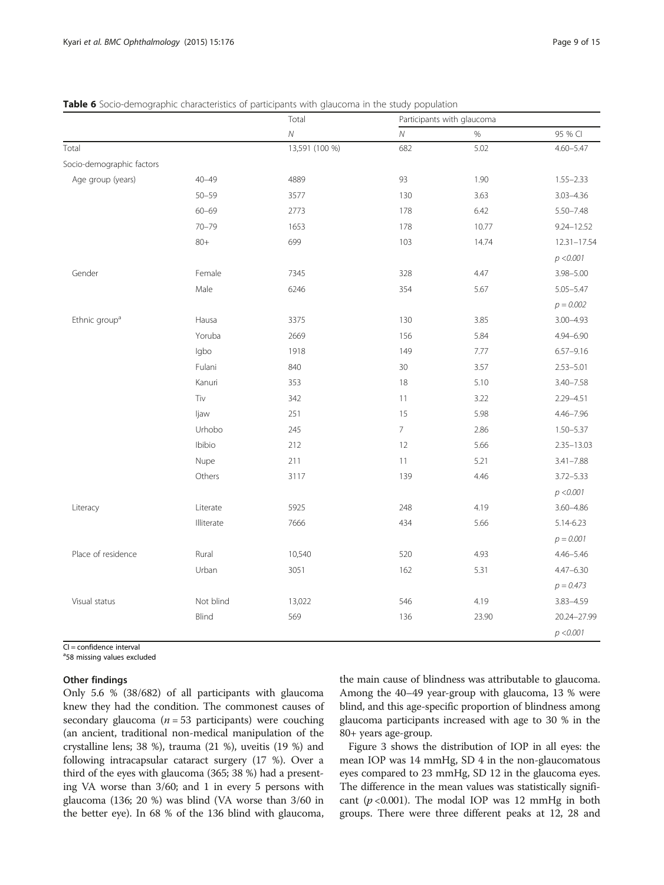|                           |            | Total          | Participants with glaucoma |       |                |
|---------------------------|------------|----------------|----------------------------|-------|----------------|
|                           |            | $\cal N$       | ${\cal N}$                 | $\%$  | 95 % CI        |
| Total                     |            | 13,591 (100 %) | 682                        | 5.02  | $4.60 - 5.47$  |
| Socio-demographic factors |            |                |                            |       |                |
| Age group (years)         | $40 - 49$  | 4889           | 93                         | 1.90  | $1.55 - 2.33$  |
|                           | $50 - 59$  | 3577           | 130                        | 3.63  | $3.03 - 4.36$  |
|                           | $60 - 69$  | 2773           | 178                        | 6.42  | $5.50 - 7.48$  |
|                           | $70 - 79$  | 1653           | 178                        | 10.77 | $9.24 - 12.52$ |
|                           | $80 +$     | 699            | 103                        | 14.74 | 12.31-17.54    |
|                           |            |                |                            |       | p < 0.001      |
| Gender                    | Female     | 7345           | 328                        | 4.47  | $3.98 - 5.00$  |
|                           | Male       | 6246           | 354                        | 5.67  | $5.05 - 5.47$  |
|                           |            |                |                            |       | $p = 0.002$    |
| Ethnic group <sup>a</sup> | Hausa      | 3375           | 130                        | 3.85  | $3.00 - 4.93$  |
|                           | Yoruba     | 2669           | 156                        | 5.84  | $4.94 - 6.90$  |
|                           | Igbo       | 1918           | 149                        | 7.77  | $6.57 - 9.16$  |
|                           | Fulani     | 840            | 30                         | 3.57  | $2.53 - 5.01$  |
|                           | Kanuri     | 353            | 18                         | 5.10  | $3.40 - 7.58$  |
|                           | Tiv        | 342            | 11                         | 3.22  | $2.29 - 4.51$  |
|                           | ljaw       | 251            | 15                         | 5.98  | $4.46 - 7.96$  |
|                           | Urhobo     | 245            | $\overline{7}$             | 2.86  | $1.50 - 5.37$  |
|                           | Ibibio     | 212            | 12                         | 5.66  | $2.35 - 13.03$ |
|                           | Nupe       | 211            | 11                         | 5.21  | $3.41 - 7.88$  |
|                           | Others     | 3117           | 139                        | 4.46  | $3.72 - 5.33$  |
|                           |            |                |                            |       | p < 0.001      |
| Literacy                  | Literate   | 5925           | 248                        | 4.19  | $3.60 - 4.86$  |
|                           | Illiterate | 7666           | 434                        | 5.66  | 5.14-6.23      |
|                           |            |                |                            |       | $p = 0.001$    |
| Place of residence        | Rural      | 10,540         | 520                        | 4.93  | $4.46 - 5.46$  |
|                           | Urban      | 3051           | 162                        | 5.31  | $4.47 - 6.30$  |
|                           |            |                |                            |       | $p = 0.473$    |
| Visual status             | Not blind  | 13,022         | 546                        | 4.19  | $3.83 - 4.59$  |
|                           | Blind      | 569            | 136                        | 23.90 | 20.24-27.99    |
|                           |            |                |                            |       | p < 0.001      |

#### <span id="page-8-0"></span>**Table 6** Socio-demographic characteristics of participants with glaucoma in the study population

 $CI = confidence$  interval

<sup>a</sup>58 missing values excluded

#### Other findings

Only 5.6 % (38/682) of all participants with glaucoma knew they had the condition. The commonest causes of secondary glaucoma ( $n = 53$  participants) were couching (an ancient, traditional non-medical manipulation of the crystalline lens; 38 %), trauma (21 %), uveitis (19 %) and following intracapsular cataract surgery (17 %). Over a third of the eyes with glaucoma (365; 38 %) had a presenting VA worse than 3/60; and 1 in every 5 persons with glaucoma (136; 20 %) was blind (VA worse than 3/60 in the better eye). In 68 % of the 136 blind with glaucoma, the main cause of blindness was attributable to glaucoma. Among the 40–49 year-group with glaucoma, 13 % were blind, and this age-specific proportion of blindness among glaucoma participants increased with age to 30 % in the 80+ years age-group.

Figure [3](#page-10-0) shows the distribution of IOP in all eyes: the mean IOP was 14 mmHg, SD 4 in the non-glaucomatous eyes compared to 23 mmHg, SD 12 in the glaucoma eyes. The difference in the mean values was statistically significant ( $p$  <0.001). The modal IOP was 12 mmHg in both groups. There were three different peaks at 12, 28 and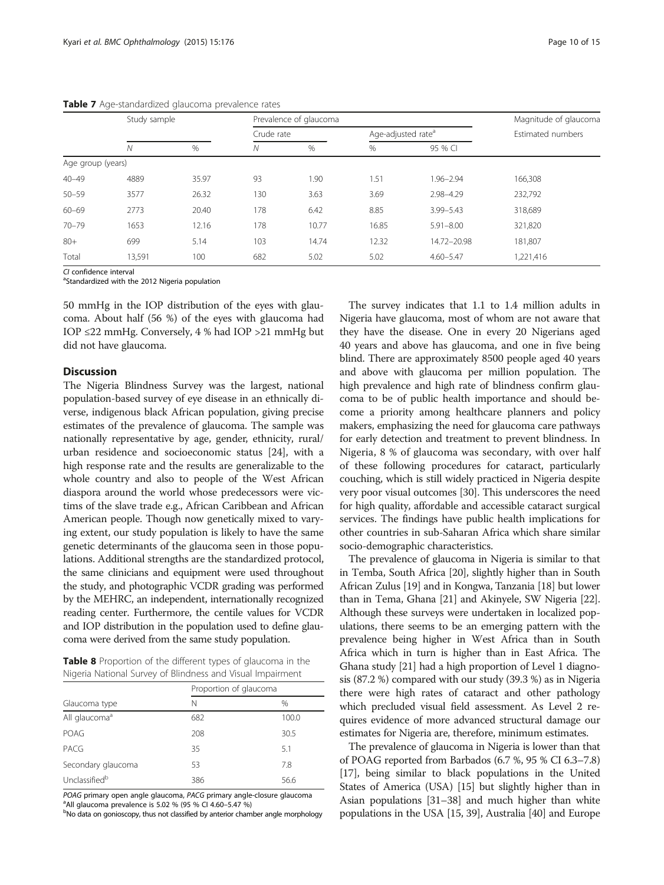|                   | Study sample |       |     | Prevalence of glaucoma | Magnitude of glaucoma |                                |                   |
|-------------------|--------------|-------|-----|------------------------|-----------------------|--------------------------------|-------------------|
|                   |              |       |     | Crude rate             |                       | Age-adjusted rate <sup>a</sup> | Estimated numbers |
|                   | N            | %     | N   | %                      | %                     | 95 % CI                        |                   |
| Age group (years) |              |       |     |                        |                       |                                |                   |
| 40-49             | 4889         | 35.97 | 93  | 1.90                   | 1.51                  | $1.96 - 2.94$                  | 166,308           |
| $50 - 59$         | 3577         | 26.32 | 130 | 3.63                   | 3.69                  | 2.98-4.29                      | 232,792           |
| $60 - 69$         | 2773         | 20.40 | 178 | 6.42                   | 8.85                  | $3.99 - 5.43$                  | 318,689           |
| $70 - 79$         | 1653         | 12.16 | 178 | 10.77                  | 16.85                 | $5.91 - 8.00$                  | 321,820           |
| $80 +$            | 699          | 5.14  | 103 | 14.74                  | 12.32                 | 14.72-20.98                    | 181,807           |
| Total             | 13,591       | 100   | 682 | 5.02                   | 5.02                  | $4.60 - 5.47$                  | 1,221,416         |

<span id="page-9-0"></span>Table 7 Age-standardized glaucoma prevalence rates

CI confidence interval

<sup>a</sup>Standardized with the 2012 Nigeria population

50 mmHg in the IOP distribution of the eyes with glaucoma. About half (56 %) of the eyes with glaucoma had IOP ≤22 mmHg. Conversely, 4 % had IOP >21 mmHg but did not have glaucoma.

#### **Discussion**

The Nigeria Blindness Survey was the largest, national population-based survey of eye disease in an ethnically diverse, indigenous black African population, giving precise estimates of the prevalence of glaucoma. The sample was nationally representative by age, gender, ethnicity, rural/ urban residence and socioeconomic status [[24](#page-13-0)], with a high response rate and the results are generalizable to the whole country and also to people of the West African diaspora around the world whose predecessors were victims of the slave trade e.g., African Caribbean and African American people. Though now genetically mixed to varying extent, our study population is likely to have the same genetic determinants of the glaucoma seen in those populations. Additional strengths are the standardized protocol, the same clinicians and equipment were used throughout the study, and photographic VCDR grading was performed by the MEHRC, an independent, internationally recognized reading center. Furthermore, the centile values for VCDR and IOP distribution in the population used to define glaucoma were derived from the same study population.

Table 8 Proportion of the different types of glaucoma in the Nigeria National Survey of Blindness and Visual Impairment

| Proportion of glaucoma |       |  |  |  |
|------------------------|-------|--|--|--|
| N                      | $\%$  |  |  |  |
| 682                    | 100.0 |  |  |  |
| 208                    | 30.5  |  |  |  |
| 35                     | 5.1   |  |  |  |
| 53                     | 7.8   |  |  |  |
| 386                    | 56.6  |  |  |  |
|                        |       |  |  |  |

POAG primary open angle glaucoma, PACG primary angle-closure glaucoma <sup>a</sup> All glaucoma prevalence is 5.02 % (95 % CI 4.60-5.47 %)

<sup>b</sup>No data on gonioscopy, thus not classified by anterior chamber angle morphology

The survey indicates that 1.1 to 1.4 million adults in Nigeria have glaucoma, most of whom are not aware that they have the disease. One in every 20 Nigerians aged 40 years and above has glaucoma, and one in five being blind. There are approximately 8500 people aged 40 years and above with glaucoma per million population. The high prevalence and high rate of blindness confirm glaucoma to be of public health importance and should become a priority among healthcare planners and policy makers, emphasizing the need for glaucoma care pathways for early detection and treatment to prevent blindness. In Nigeria, 8 % of glaucoma was secondary, with over half of these following procedures for cataract, particularly couching, which is still widely practiced in Nigeria despite very poor visual outcomes [\[30](#page-13-0)]. This underscores the need for high quality, affordable and accessible cataract surgical services. The findings have public health implications for other countries in sub-Saharan Africa which share similar socio-demographic characteristics.

The prevalence of glaucoma in Nigeria is similar to that in Temba, South Africa [[20](#page-13-0)], slightly higher than in South African Zulus [[19](#page-13-0)] and in Kongwa, Tanzania [\[18](#page-13-0)] but lower than in Tema, Ghana [\[21](#page-13-0)] and Akinyele, SW Nigeria [[22](#page-13-0)]. Although these surveys were undertaken in localized populations, there seems to be an emerging pattern with the prevalence being higher in West Africa than in South Africa which in turn is higher than in East Africa. The Ghana study [[21](#page-13-0)] had a high proportion of Level 1 diagnosis (87.2 %) compared with our study (39.3 %) as in Nigeria there were high rates of cataract and other pathology which precluded visual field assessment. As Level 2 requires evidence of more advanced structural damage our estimates for Nigeria are, therefore, minimum estimates.

The prevalence of glaucoma in Nigeria is lower than that of POAG reported from Barbados (6.7 %, 95 % CI 6.3–7.8) [[17](#page-13-0)], being similar to black populations in the United States of America (USA) [\[15\]](#page-13-0) but slightly higher than in Asian populations [[31](#page-13-0)–[38\]](#page-13-0) and much higher than white populations in the USA [\[15, 39\]](#page-13-0), Australia [\[40\]](#page-13-0) and Europe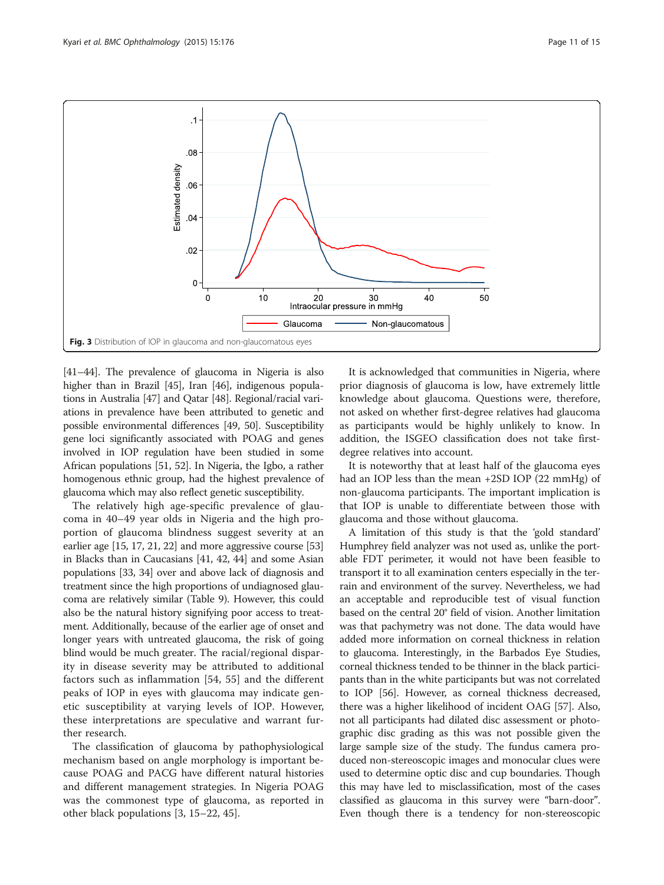<span id="page-10-0"></span>

[[41](#page-13-0)–[44\]](#page-13-0). The prevalence of glaucoma in Nigeria is also higher than in Brazil [[45](#page-13-0)], Iran [\[46\]](#page-13-0), indigenous populations in Australia [\[47\]](#page-13-0) and Qatar [\[48\]](#page-13-0). Regional/racial variations in prevalence have been attributed to genetic and possible environmental differences [[49](#page-13-0), [50\]](#page-13-0). Susceptibility gene loci significantly associated with POAG and genes involved in IOP regulation have been studied in some African populations [\[51, 52](#page-14-0)]. In Nigeria, the Igbo, a rather homogenous ethnic group, had the highest prevalence of glaucoma which may also reflect genetic susceptibility.

The relatively high age-specific prevalence of glaucoma in 40–49 year olds in Nigeria and the high proportion of glaucoma blindness suggest severity at an earlier age [\[15](#page-13-0), [17](#page-13-0), [21, 22](#page-13-0)] and more aggressive course [[53](#page-14-0)] in Blacks than in Caucasians [\[41](#page-13-0), [42, 44\]](#page-13-0) and some Asian populations [[33, 34](#page-13-0)] over and above lack of diagnosis and treatment since the high proportions of undiagnosed glaucoma are relatively similar (Table [9\)](#page-11-0). However, this could also be the natural history signifying poor access to treatment. Additionally, because of the earlier age of onset and longer years with untreated glaucoma, the risk of going blind would be much greater. The racial/regional disparity in disease severity may be attributed to additional factors such as inflammation [\[54](#page-14-0), [55](#page-14-0)] and the different peaks of IOP in eyes with glaucoma may indicate genetic susceptibility at varying levels of IOP. However, these interpretations are speculative and warrant further research.

The classification of glaucoma by pathophysiological mechanism based on angle morphology is important because POAG and PACG have different natural histories and different management strategies. In Nigeria POAG was the commonest type of glaucoma, as reported in other black populations [[3,](#page-12-0) [15](#page-13-0)–[22](#page-13-0), [45](#page-13-0)].

It is acknowledged that communities in Nigeria, where prior diagnosis of glaucoma is low, have extremely little knowledge about glaucoma. Questions were, therefore, not asked on whether first-degree relatives had glaucoma as participants would be highly unlikely to know. In addition, the ISGEO classification does not take firstdegree relatives into account.

It is noteworthy that at least half of the glaucoma eyes had an IOP less than the mean +2SD IOP (22 mmHg) of non-glaucoma participants. The important implication is that IOP is unable to differentiate between those with glaucoma and those without glaucoma.

A limitation of this study is that the 'gold standard' Humphrey field analyzer was not used as, unlike the portable FDT perimeter, it would not have been feasible to transport it to all examination centers especially in the terrain and environment of the survey. Nevertheless, we had an acceptable and reproducible test of visual function based on the central 20° field of vision. Another limitation was that pachymetry was not done. The data would have added more information on corneal thickness in relation to glaucoma. Interestingly, in the Barbados Eye Studies, corneal thickness tended to be thinner in the black participants than in the white participants but was not correlated to IOP [\[56\]](#page-14-0). However, as corneal thickness decreased, there was a higher likelihood of incident OAG [\[57\]](#page-14-0). Also, not all participants had dilated disc assessment or photographic disc grading as this was not possible given the large sample size of the study. The fundus camera produced non-stereoscopic images and monocular clues were used to determine optic disc and cup boundaries. Though this may have led to misclassification, most of the cases classified as glaucoma in this survey were "barn-door". Even though there is a tendency for non-stereoscopic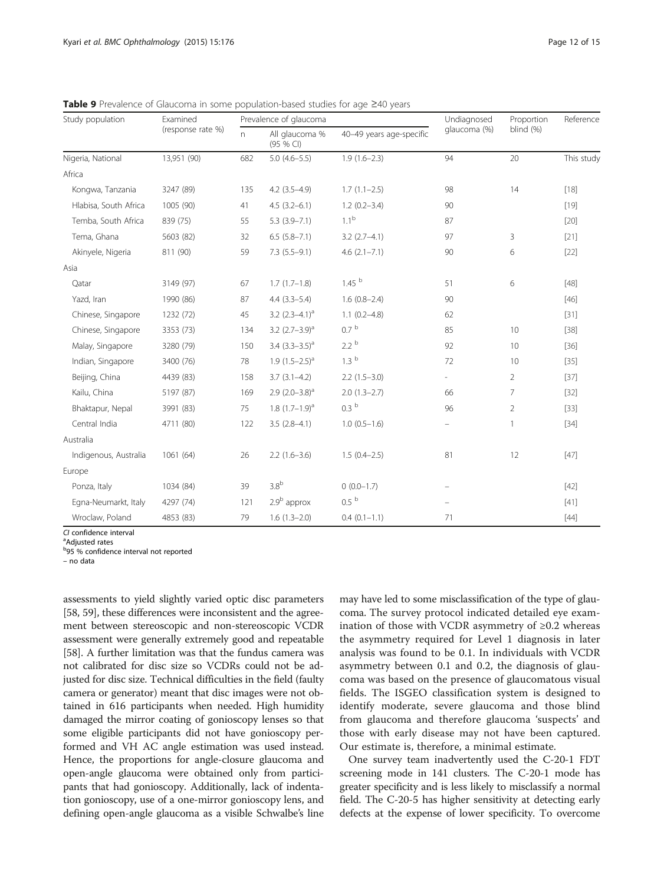| Study population      | Examined          | Prevalence of glaucoma |                                |                          | Undiagnosed              | Proportion     | Reference  |
|-----------------------|-------------------|------------------------|--------------------------------|--------------------------|--------------------------|----------------|------------|
|                       | (response rate %) | $\mathsf{n}$           | All glaucoma %<br>(95 % CI)    | 40-49 years age-specific | glaucoma (%)             | blind (%)      |            |
| Nigeria, National     | 13,951 (90)       | 682                    | $5.0(4.6-5.5)$                 | $1.9(1.6-2.3)$           | 94                       | 20             | This study |
| Africa                |                   |                        |                                |                          |                          |                |            |
| Kongwa, Tanzania      | 3247 (89)         | 135                    | $4.2$ (3.5-4.9)                | $1.7(1.1-2.5)$           | 98                       | 14             | $[18]$     |
| Hlabisa, South Africa | 1005 (90)         | 41                     | $4.5(3.2-6.1)$                 | $1.2(0.2 - 3.4)$         | 90                       |                | $[19]$     |
| Temba, South Africa   | 839 (75)          | 55                     | $5.3(3.9 - 7.1)$               | 1.1 <sup>b</sup>         | 87                       |                | $[20]$     |
| Tema, Ghana           | 5603 (82)         | 32                     | $6.5(5.8-7.1)$                 | $3.2(2.7-4.1)$           | 97                       | $\mathsf{3}$   | $[21]$     |
| Akinyele, Nigeria     | 811 (90)          | 59                     | $7.3(5.5-9.1)$                 | $4.6(2.1 - 7.1)$         | 90                       | 6              | $[22]$     |
| Asia                  |                   |                        |                                |                          |                          |                |            |
| Qatar                 | 3149 (97)         | 67                     | $1.7(1.7-1.8)$                 | 1.45 <sup>b</sup>        | 51                       | 6              | $[48]$     |
| Yazd, Iran            | 1990 (86)         | 87                     | $4.4(3.3-5.4)$                 | $1.6(0.8-2.4)$           | 90                       |                | $[46]$     |
| Chinese, Singapore    | 1232 (72)         | 45                     | 3.2 $(2.3-4.1)^a$              | $1.1(0.2-4.8)$           | 62                       |                | $[31]$     |
| Chinese, Singapore    | 3353 (73)         | 134                    | 3.2 $(2.7-3.9)$ <sup>a</sup>   | 0.7 <sup>b</sup>         | 85                       | 10             | $[38]$     |
| Malay, Singapore      | 3280 (79)         | 150                    | 3.4 $(3.3-3.5)^a$              | 2.2 <sup>b</sup>         | 92                       | 10             | $[36]$     |
| Indian, Singapore     | 3400 (76)         | 78                     | $1.9(1.5-2.5)^a$               | 1.3 <sup>b</sup>         | 72                       | 10             | $[35]$     |
| Beijing, China        | 4439 (83)         | 158                    | $3.7(3.1 - 4.2)$               | $2.2(1.5-3.0)$           | $\overline{\phantom{a}}$ | $\overline{2}$ | $[37]$     |
| Kailu, China          | 5197 (87)         | 169                    | 2.9 $(2.0-3.8)^a$              | $2.0(1.3-2.7)$           | 66                       | $\overline{7}$ | $[32]$     |
| Bhaktapur, Nepal      | 3991 (83)         | 75                     | $1.8$ $(1.7-1.9)$ <sup>a</sup> | 0.3 <sup>b</sup>         | 96                       | $\overline{2}$ | $[33]$     |
| Central India         | 4711 (80)         | 122                    | $3.5(2.8-4.1)$                 | $1.0(0.5-1.6)$           | $\qquad \qquad -$        | $\mathbf{1}$   | $[34]$     |
| Australia             |                   |                        |                                |                          |                          |                |            |
| Indigenous, Australia | 1061 (64)         | 26                     | $2.2(1.6-3.6)$                 | $1.5(0.4-2.5)$           | 81                       | 12             | $[47]$     |
| Europe                |                   |                        |                                |                          |                          |                |            |
| Ponza, Italy          | 1034 (84)         | 39                     | 3.8 <sup>b</sup>               | $0(0.0-1.7)$             |                          |                | $[42]$     |
| Egna-Neumarkt, Italy  | 4297 (74)         | 121                    | 2.9 <sup>b</sup> approx        | 0.5 <sup>b</sup>         |                          |                | $[41]$     |
| Wroclaw, Poland       | 4853 (83)         | 79                     | $1.6(1.3-2.0)$                 | $0.4(0.1-1.1)$           | 71                       |                | $[44]$     |

<span id="page-11-0"></span>Table 9 Prevalence of Glaucoma in some population-based studies for age ≥40 years

CI confidence interval <sup>a</sup>Adjusted rates

<sup>b</sup>95 % confidence interval not reported

assessments to yield slightly varied optic disc parameters [[58](#page-14-0), [59\]](#page-14-0), these differences were inconsistent and the agreement between stereoscopic and non-stereoscopic VCDR assessment were generally extremely good and repeatable [[58](#page-14-0)]. A further limitation was that the fundus camera was not calibrated for disc size so VCDRs could not be adjusted for disc size. Technical difficulties in the field (faulty camera or generator) meant that disc images were not obtained in 616 participants when needed. High humidity damaged the mirror coating of gonioscopy lenses so that some eligible participants did not have gonioscopy performed and VH AC angle estimation was used instead. Hence, the proportions for angle-closure glaucoma and open-angle glaucoma were obtained only from participants that had gonioscopy. Additionally, lack of indentation gonioscopy, use of a one-mirror gonioscopy lens, and defining open-angle glaucoma as a visible Schwalbe's line

may have led to some misclassification of the type of glaucoma. The survey protocol indicated detailed eye examination of those with VCDR asymmetry of ≥0.2 whereas the asymmetry required for Level 1 diagnosis in later analysis was found to be 0.1. In individuals with VCDR asymmetry between 0.1 and 0.2, the diagnosis of glaucoma was based on the presence of glaucomatous visual fields. The ISGEO classification system is designed to identify moderate, severe glaucoma and those blind from glaucoma and therefore glaucoma 'suspects' and those with early disease may not have been captured. Our estimate is, therefore, a minimal estimate.

One survey team inadvertently used the C-20-1 FDT screening mode in 141 clusters. The C-20-1 mode has greater specificity and is less likely to misclassify a normal field. The C-20-5 has higher sensitivity at detecting early defects at the expense of lower specificity. To overcome

<sup>–</sup> no data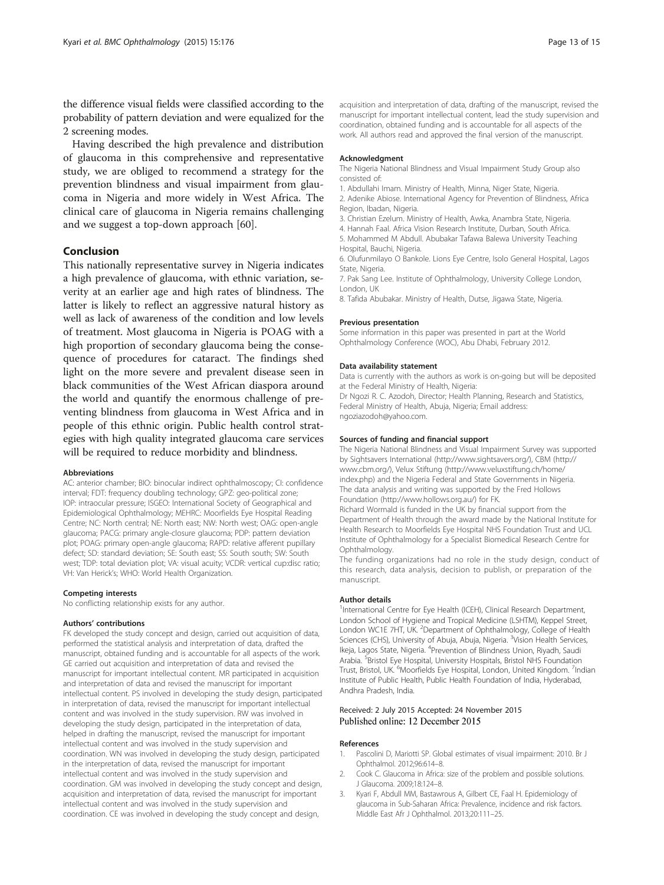<span id="page-12-0"></span>the difference visual fields were classified according to the probability of pattern deviation and were equalized for the 2 screening modes.

Having described the high prevalence and distribution of glaucoma in this comprehensive and representative study, we are obliged to recommend a strategy for the prevention blindness and visual impairment from glaucoma in Nigeria and more widely in West Africa. The clinical care of glaucoma in Nigeria remains challenging and we suggest a top-down approach [\[60](#page-14-0)].

#### Conclusion

This nationally representative survey in Nigeria indicates a high prevalence of glaucoma, with ethnic variation, severity at an earlier age and high rates of blindness. The latter is likely to reflect an aggressive natural history as well as lack of awareness of the condition and low levels of treatment. Most glaucoma in Nigeria is POAG with a high proportion of secondary glaucoma being the consequence of procedures for cataract. The findings shed light on the more severe and prevalent disease seen in black communities of the West African diaspora around the world and quantify the enormous challenge of preventing blindness from glaucoma in West Africa and in people of this ethnic origin. Public health control strategies with high quality integrated glaucoma care services will be required to reduce morbidity and blindness.

#### Abbreviations

AC: anterior chamber; BIO: binocular indirect ophthalmoscopy; CI: confidence interval; FDT: frequency doubling technology; GPZ: geo-political zone; IOP: intraocular pressure; ISGEO: International Society of Geographical and Epidemiological Ophthalmology; MEHRC: Moorfields Eye Hospital Reading Centre; NC: North central; NE: North east; NW: North west; OAG: open-angle glaucoma; PACG: primary angle-closure glaucoma; PDP: pattern deviation plot; POAG: primary open-angle glaucoma; RAPD: relative afferent pupillary defect; SD: standard deviation; SE: South east; SS: South south; SW: South west; TDP: total deviation plot; VA: visual acuity; VCDR: vertical cup:disc ratio; VH: Van Herick's; WHO: World Health Organization.

#### Competing interests

No conflicting relationship exists for any author.

#### Authors' contributions

FK developed the study concept and design, carried out acquisition of data, performed the statistical analysis and interpretation of data, drafted the manuscript, obtained funding and is accountable for all aspects of the work. GE carried out acquisition and interpretation of data and revised the manuscript for important intellectual content. MR participated in acquisition and interpretation of data and revised the manuscript for important intellectual content. PS involved in developing the study design, participated in interpretation of data, revised the manuscript for important intellectual content and was involved in the study supervision. RW was involved in developing the study design, participated in the interpretation of data, helped in drafting the manuscript, revised the manuscript for important intellectual content and was involved in the study supervision and coordination. WN was involved in developing the study design, participated in the interpretation of data, revised the manuscript for important intellectual content and was involved in the study supervision and coordination. GM was involved in developing the study concept and design, acquisition and interpretation of data, revised the manuscript for important intellectual content and was involved in the study supervision and coordination. CE was involved in developing the study concept and design,

acquisition and interpretation of data, drafting of the manuscript, revised the manuscript for important intellectual content, lead the study supervision and coordination, obtained funding and is accountable for all aspects of the work. All authors read and approved the final version of the manuscript.

#### Acknowledgment

The Nigeria National Blindness and Visual Impairment Study Group also consisted of:

1. Abdullahi Imam. Ministry of Health, Minna, Niger State, Nigeria. 2. Adenike Abiose. International Agency for Prevention of Blindness, Africa Region, Ibadan, Nigeria.

3. Christian Ezelum. Ministry of Health, Awka, Anambra State, Nigeria.

4. Hannah Faal. Africa Vision Research Institute, Durban, South Africa. 5. Mohammed M Abdull. Abubakar Tafawa Balewa University Teaching

Hospital, Bauchi, Nigeria.

6. Olufunmilayo O Bankole. Lions Eye Centre, Isolo General Hospital, Lagos State, Nigeria.

7. Pak Sang Lee. Institute of Ophthalmology, University College London, London, UK

8. Tafida Abubakar. Ministry of Health, Dutse, Jigawa State, Nigeria.

#### Previous presentation

Some information in this paper was presented in part at the World Ophthalmology Conference (WOC), Abu Dhabi, February 2012.

#### Data availability statement

Data is currently with the authors as work is on-going but will be deposited at the Federal Ministry of Health, Nigeria:

Dr Ngozi R. C. Azodoh, Director; Health Planning, Research and Statistics, Federal Ministry of Health, Abuja, Nigeria; Email address: ngoziazodoh@yahoo.com.

#### Sources of funding and financial support

The Nigeria National Blindness and Visual Impairment Survey was supported by Sightsavers International ([http://www.sightsavers.org/\)](http://www.sightsavers.org/), CBM [\(http://](http://www.cbm.org/) [www.cbm.org/\)](http://www.cbm.org/), Velux Stiftung [\(http://www.veluxstiftung.ch/home/](http://www.veluxstiftung.ch/home/index.php) [index.php\)](http://www.veluxstiftung.ch/home/index.php) and the Nigeria Federal and State Governments in Nigeria. The data analysis and writing was supported by the Fred Hollows Foundation ([http://www.hollows.org.au/\)](http://www.hollows.org.au/) for FK.

Richard Wormald is funded in the UK by financial support from the Department of Health through the award made by the National Institute for Health Research to Moorfields Eye Hospital NHS Foundation Trust and UCL Institute of Ophthalmology for a Specialist Biomedical Research Centre for Ophthalmology.

The funding organizations had no role in the study design, conduct of this research, data analysis, decision to publish, or preparation of the manuscript.

#### Author details

<sup>1</sup>International Centre for Eye Health (ICEH), Clinical Research Department, London School of Hygiene and Tropical Medicine (LSHTM), Keppel Street, London WC1E 7HT, UK. <sup>2</sup>Department of Ophthalmology, College of Health Sciences (CHS), University of Abuja, Abuja, Nigeria. <sup>3</sup>Vision Health Services, Ikeja, Lagos State, Nigeria. <sup>4</sup>Prevention of Blindness Union, Riyadh, Saudi Arabia. <sup>5</sup>Bristol Eye Hospital, University Hospitals, Bristol NHS Foundation Trust, Bristol, UK. <sup>6</sup>Moorfields Eye Hospital, London, United Kingdom. <sup>7</sup>Indian Institute of Public Health, Public Health Foundation of India, Hyderabad, Andhra Pradesh, India.

#### Received: 2 July 2015 Accepted: 24 November 2015 Published online: 12 December 2015

#### References

- Pascolini D, Mariotti SP. Global estimates of visual impairment: 2010. Br J Ophthalmol. 2012;96:614–8.
- 2. Cook C. Glaucoma in Africa: size of the problem and possible solutions. J Glaucoma. 2009;18:124–8.
- 3. Kyari F, Abdull MM, Bastawrous A, Gilbert CE, Faal H. Epidemiology of glaucoma in Sub-Saharan Africa: Prevalence, incidence and risk factors. Middle East Afr J Ophthalmol. 2013;20:111–25.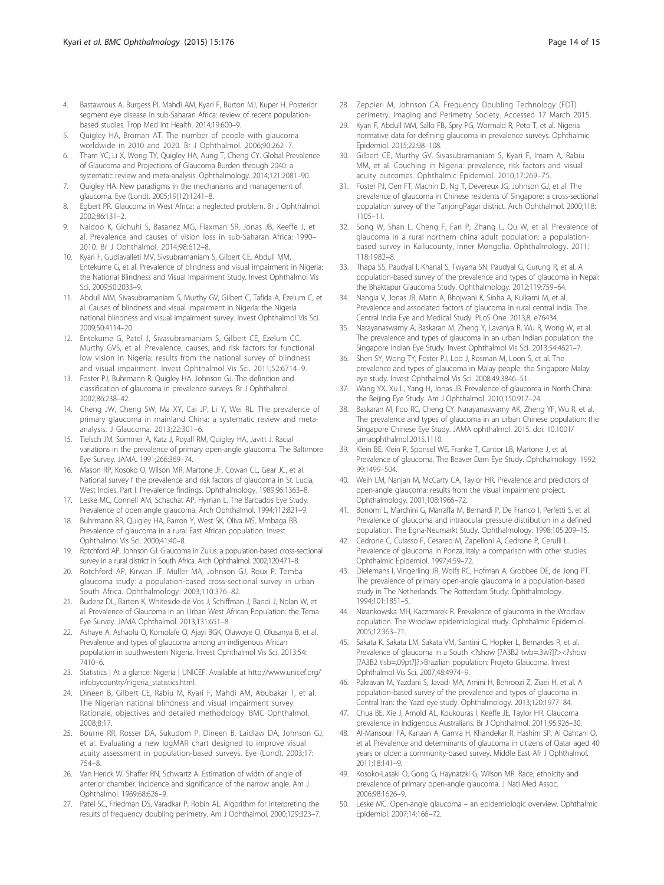- <span id="page-13-0"></span>4. Bastawrous A, Burgess PI, Mahdi AM, Kyari F, Burton MJ, Kuper H. Posterior segment eye disease in sub-Saharan Africa: review of recent populationbased studies. Trop Med Int Health. 2014;19:600–9.
- 5. Quigley HA, Broman AT. The number of people with glaucoma worldwide in 2010 and 2020. Br J Ophthalmol. 2006;90:262–7.
- 6. Tham YC, Li X, Wong TY, Quigley HA, Aung T, Cheng CY. Global Prevalence of Glaucoma and Projections of Glaucoma Burden through 2040: a systematic review and meta-analysis. Ophthalmology. 2014;121:2081–90.
- 7. Quigley HA. New paradigms in the mechanisms and management of glaucoma. Eye (Lond). 2005;19(12):1241–8.
- 8. Egbert PR. Glaucoma in West Africa: a neglected problem. Br J Ophthalmol. 2002;86:131–2.
- 9. Naidoo K, Gichuhi S, Basanez MG, Flaxman SR, Jonas JB, Keeffe J, et al. Prevalence and causes of vision loss in sub-Saharan Africa: 1990– 2010. Br J Ophthalmol. 2014;98:612–8.
- 10. Kyari F, Gudlavalleti MV, Sivsubramaniam S, Gilbert CE, Abdull MM, Entekume G, et al. Prevalence of blindness and visual impairment in Nigeria: the National Blindness and Visual Impairment Study. Invest Ophthalmol Vis Sci. 2009;50:2033–9.
- 11. Abdull MM, Sivasubramaniam S, Murthy GV, Gilbert C, Tafida A, Ezelum C, et al. Causes of blindness and visual impairment in Nigeria: the Nigeria national blindness and visual impairment survey. Invest Ophthalmol Vis Sci. 2009;50:4114–20.
- 12. Entekume G, Patel J, Sivasubramaniam S, Gilbert CE, Ezelum CC, Murthy GVS, et al. Prevalence, causes, and risk factors for functional low vision in Nigeria: results from the national survey of blindness and visual impairment. Invest Ophthalmol Vis Sci. 2011;52:6714–9.
- 13. Foster PJ, Buhrmann R, Quigley HA, Johnson GJ. The definition and classification of glaucoma in prevalence surveys. Br J Ophthalmol. 2002;86:238–42.
- 14. Cheng JW, Cheng SW, Ma XY, Cai JP, Li Y, Wei RL. The prevalence of primary glaucoma in mainland China: a systematic review and metaanalysis. J Glaucoma. 2013;22:301–6.
- 15. Tielsch JM, Sommer A, Katz J, Royall RM, Quigley HA, Javitt J. Racial variations in the prevalence of primary open-angle glaucoma. The Baltimore Eye Survey. JAMA. 1991;266:369–74.
- 16. Mason RP, Kosoko O, Wilson MR, Martone JF, Cowan CL, Gear JC, et al. National survey f the prevalence and risk factors of glaucoma in St. Lucia, West Indies. Part I. Prevalence findings. Ophthalmology. 1989;96:1363–8.
- 17. Leske MC, Connell AM, Schachat AP, Hyman L. The Barbados Eye Study. Prevalence of open angle glaucoma. Arch Ophthalmol. 1994;112:821–9.
- 18. Buhrmann RR, Quigley HA, Barron Y, West SK, Oliva MS, Mmbaga BB. Prevalence of glaucoma in a rural East African population. Invest Ophthalmol Vis Sci. 2000;41:40–8.
- 19. Rotchford AP, Johnson GJ. Glaucoma in Zulus: a population-based cross-sectional survey in a rural district in South Africa. Arch Ophthalmol. 2002;120:471–8.
- 20. Rotchford AP, Kirwan JF, Muller MA, Johnson GJ, Roux P. Temba glaucoma study: a population-based cross-sectional survey in urban South Africa. Ophthalmology. 2003;110:376–82.
- 21. Budenz DL, Barton K, Whiteside-de Vos J, Schiffman J, Bandi J, Nolan W, et al. Prevalence of Glaucoma in an Urban West African Population: the Tema Eye Survey. JAMA Ophthalmol. 2013;131:651–8.
- 22. Ashaye A, Ashaolu O, Komolafe O, Ajayi BGK, Olawoye O, Olusanya B, et al. Prevalence and types of glaucoma among an indigenous African population in southwestern Nigeria. Invest Ophthalmol Vis Sci. 2013;54: 7410–6.
- 23. Statistics | At a glance: Nigeria | UNICEF. Available at [http://www.unicef.org/](http://www.unicef.org/infobycountry/nigeria_statistics.html) [infobycountry/nigeria\\_statistics.html.](http://www.unicef.org/infobycountry/nigeria_statistics.html)
- 24. Dineen B, Gilbert CE, Rabiu M, Kyari F, Mahdi AM, Abubakar T, et al. The Nigerian national blindness and visual impairment survey: Rationale, objectives and detailed methodology. BMC Ophthalmol. 2008;8:17.
- 25. Bourne RR, Rosser DA, Sukudom P, Dineen B, Laidlaw DA, Johnson GJ, et al. Evaluating a new logMAR chart designed to improve visual acuity assessment in population-based surveys. Eye (Lond). 2003;17: 754–8.
- 26. Van Herick W, Shaffer RN, Schwartz A. Estimation of width of angle of anterior chamber. Incidence and significance of the narrow angle. Am J Ophthalmol. 1969;68:626–9.
- 27. Patel SC, Friedman DS, Varadkar P, Robin AL. Algorithm for interpreting the results of frequency doubling perimetry. Am J Ophthalmol. 2000;129:323–7.
- 28. Zeppieri M, Johnson CA. Frequency Doubling Technology (FDT) perimetry. Imaging and Perimetry Society. Accessed 17 March 2015.
- 29. Kyari F, Abdull MM, Sallo FB, Spry PG, Wormald R, Peto T, et al. Nigeria normative data for defining glaucoma in prevalence surveys. Ophthalmic Epidemiol. 2015;22:98–108.
- 30. Gilbert CE, Murthy GV, Sivasubramaniam S, Kyari F, Imam A, Rabiu MM, et al. Couching in Nigeria: prevalence, risk factors and visual acuity outcomes. Ophthalmic Epidemiol. 2010;17:269–75.
- 31. Foster PJ, Oen FT, Machin D, Ng T, Devereux JG, Johnson GJ, et al. The prevalence of glaucoma in Chinese residents of Singapore: a cross-sectional population survey of the TanjongPagar district. Arch Ophthalmol. 2000;118: 1105–11.
- 32. Song W, Shan L, Cheng F, Fan P, Zhang L, Qu W, et al. Prevalence of glaucoma in a rural northern china adult population: a populationbased survey in Kailucounty, Inner Mongolia. Ophthalmology. 2011; 118:1982–8.
- 33. Thapa SS, Paudyal I, Khanal S, Twyana SN, Paudyal G, Gurung R, et al. A population-based survey of the prevalence and types of glaucoma in Nepal: the Bhaktapur Glaucoma Study. Ophthalmology. 2012;119:759–64.
- 34. Nangia V, Jonas JB, Matin A, Bhojwani K, Sinha A, Kulkarni M, et al. Prevalence and associated factors of glaucoma in rural central India. The Central India Eye and Medical Study. PLoS One. 2013;8, e76434.
- 35. Narayanaswamy A, Baskaran M, Zheng Y, Lavanya R, Wu R, Wong W, et al. The prevalence and types of glaucoma in an urban Indian population: the Singapore Indian Eye Study. Invest Ophthalmol Vis Sci. 2013;54:4621–7.
- 36. Shen SY, Wong TY, Foster PJ, Loo J, Rosman M, Loon S, et al. The prevalence and types of glaucoma in Malay people: the Singapore Malay eye study. Invest Ophthalmol Vis Sci. 2008;49:3846–51.
- 37. Wang YX, Xu L, Yang H, Jonas JB. Prevalence of glaucoma in North China: the Beijing Eye Study. Am J Ophthalmol. 2010;150:917–24.
- 38. Baskaran M, Foo RC, Cheng CY, Narayanaswamy AK, Zheng YF, Wu R, et al. The prevalence and types of glaucoma in an urban Chinese population: the Singapore Chinese Eye Study. JAMA ophthalmol. 2015. doi: [10.1001/](http://dx.doi.org/10.1001/jamaophthalmol.2015.1110) [jamaophthalmol.2015.1110](http://dx.doi.org/10.1001/jamaophthalmol.2015.1110).
- 39. Klein BE, Klein R, Sponsel WE, Franke T, Cantor LB, Martone J, et al. Prevalence of glaucoma. The Beaver Dam Eye Study. Ophthalmology. 1992; 99:1499–504.
- 40. Weih LM, Nanjan M, McCarty CA, Taylor HR. Prevalence and predictors of open-angle glaucoma: results from the visual impairment project. Ophthalmology. 2001;108:1966–72.
- 41. Bonomi L, Marchini G, Marraffa M, Bernardi P, De Franco I, Perfetti S, et al. Prevalence of glaucoma and intraocular pressure distribution in a defined population. The Egna-Neumarkt Study. Ophthalmology. 1998;105:209–15.
- 42. Cedrone C, Culasso F, Cesareo M, Zapelloni A, Cedrone P, Cerulli L. Prevalence of glaucoma in Ponza, Italy: a comparison with other studies. Ophthalmic Epidemiol. 1997;4:59–72.
- 43. Dielemans I, Vingerling JR, Wolfs RC, Hofman A, Grobbee DE, de Jong PT. The prevalence of primary open-angle glaucoma in a population-based study in The Netherlands. The Rotterdam Study. Ophthalmology. 1994;101:1851–5.
- 44. Nizankowska MH, Kaczmarek R. Prevalence of glaucoma in the Wroclaw population. The Wroclaw epidemiological study. Ophthalmic Epidemiol. 2005;12:363–71.
- 45. Sakata K, Sakata LM, Sakata VM, Santini C, Hopker L, Bernardes R, et al. Prevalence of glaucoma in a South <?show [?A3B2 twb=.3w?]?><?show [?A3B2 tlsb=.09pt?]?>Brazilian population: Projeto Glaucoma. Invest Ophthalmol Vis Sci. 2007;48:4974–9.
- 46. Pakravan M, Yazdani S, Javadi MA, Amini H, Behroozi Z, Ziaei H, et al. A population-based survey of the prevalence and types of glaucoma in Central Iran: the Yazd eye study. Ophthalmology. 2013;120:1977–84.
- 47. Chua BE, Xie J, Arnold AL, Koukouras I, Keeffe JE, Taylor HR. Glaucoma prevalence in Indigenous Australians. Br J Ophthalmol. 2011;95:926–30.
- 48. Al-Mansouri FA, Kanaan A, Gamra H, Khandekar R, Hashim SP, Al Qahtani O, et al. Prevalence and determinants of glaucoma in citizens of Qatar aged 40 years or older: a community-based survey. Middle East Afr J Ophthalmol. 2011;18:141–9.
- 49. Kosoko-Lasaki O, Gong G, Haynatzki G, Wilson MR. Race, ethnicity and prevalence of primary open-angle glaucoma. J Natl Med Assoc. 2006;98:1626–9.
- 50. Leske MC. Open-angle glaucoma an epidemiologic overview. Ophthalmic Epidemiol. 2007;14:166–72.